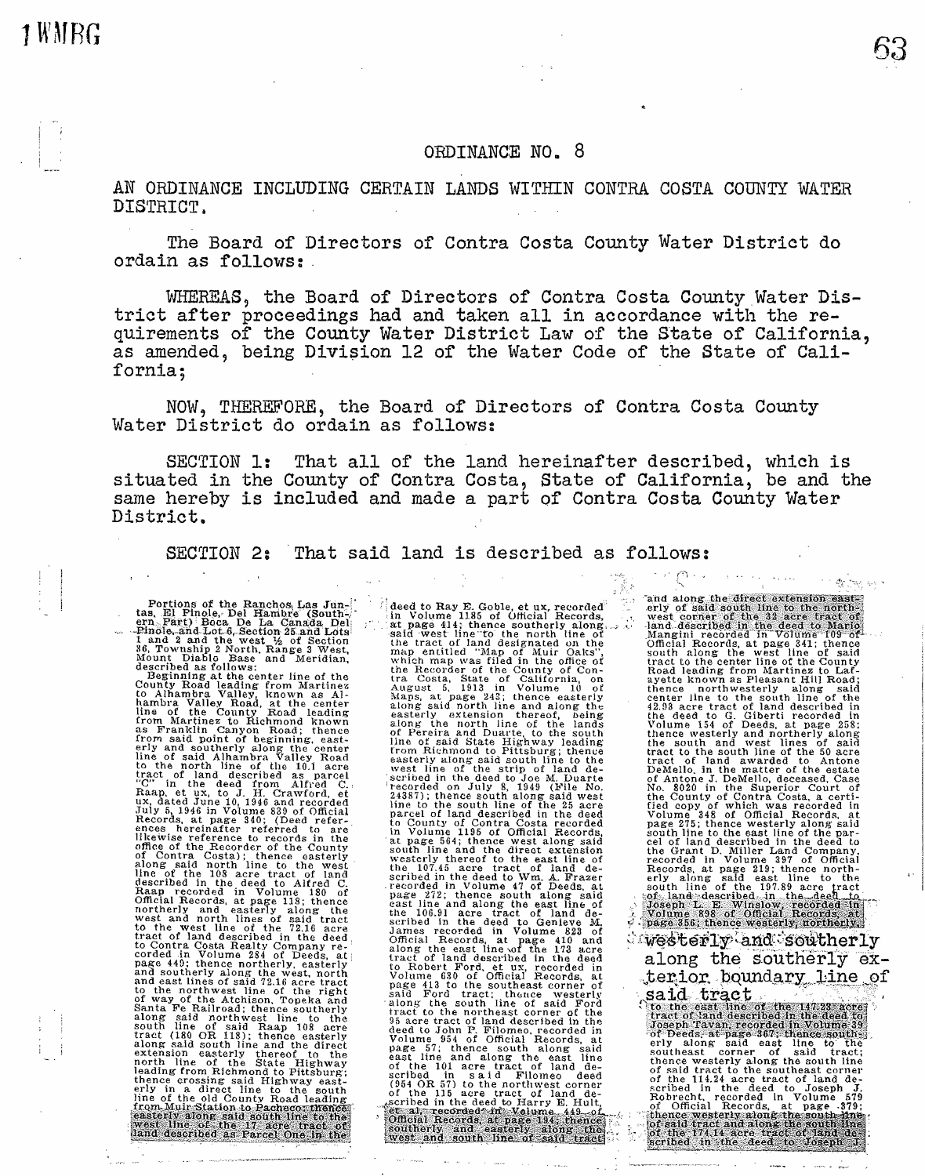## ORDINANCE NO. 8

AN ORDINANCE INCLUDING CERTAIN LANDS WITHIN CONTRA COSTA COUNTY WATER DISTRICT.

The Board of Directors of Contra Costa County Water District do ordain as follows:.

WHEREAS, the Board of Directors of Contra Costa County Water District after proceedings had and taken all in accordance with the requirements of the County Water District Law of the State of California, as amended, being Division 12 of the Water Code of the State of California;

NOW, THEREFORE, the Board of Directors of Contra Costa County Water District do ordain as follows:

SECTION l: That all of the land hereinafter described, which is situated in the County of Contra Costa, State of California, be and the same hereby is included and made a part of Contra Costa County Water District.

SECTION 2: That said land is described as follows:

Portions of the Ranchos Las Jun-<br>
tas, El Pinole, Del Hambre (South-<br>
ern Bärt) Boca De La Canada Del<br>
--Pinole and Lot 6, Section 25 and Lots<br>
1 and 2 and the west  $\frac{1}{2}$  of Section<br>
36, Township 2 North, Range 3 West,

hambra Valley Road, at the center line of the County Road leading from Martinez to Richmond known as Franklin Canyon Road; thence from said point of beginning, east-<br>erly and southerly along the center<br>line of said Alhambra Valley Road<br>to the north line of the 10.1 acre<br>tract of land described as parcel<br>'C" in the deed from Alfred C., Raap, et ux, to J. H. Crawford, et<br>ux, dated June 10, 1946 and recorded<br>July 5, 1946 in Volume 839 of Official<br>Records, at page 340; (Deed refer-<br>ences hereinafter referred to ai•e<br>likewise reference to records in the office of the Recorder of the County<br>office of the Recorder of the County<br>along said north line to the west<br>along said north line to the west<br>described in the deed to Alfred C.<br>Raap recorded in Volume 180 of<br>0fficial Recor and east lines of said 72.16 acre tract<br>to the northwest line of the right<br>of way of the Atchison, Topeka and Santa Fe Railroad; thence southerly along said northwest line to the south line of said Raap 108 acre<br>south line of said Raap 108 acre<br>along said south line and the direct<br>along said south line and the direct<br>extension easterly thereof to the<br>leading from Richmond to Pittsburg;<br>thence cross

deed to Ray E. Goble, et ux, recorded<br>in Volume 1185 of Official Records,<br>in Volume 1185 of Official Records,<br>at page 414; thence southerly along ...<br>said west line to the north line of<br>the tract of land designated on the<br> the Recorder of the County of Con-<br>tra Costa, State of California, on<br>August 5, 1913 in Volume 10 of Maps, at page 243; thence easterly along said north line and along tht easterly extension thereof, being<br>along the north line of the lands<br>of Pereira and Duarte, to the south<br>line of said State Highway leading<br>from Richmond to Pittsburg; thence easterly along said south line to the west line of the strip of land de-<br>scribed in the deed to Joe M. Duarte<br>'scorded on July 8, 1949 (File No. 24387); thence south along said west<br>line to the south line of the 25 acre<br>parcel of land described in the deed<br>to County of Contra Costa recorded on Volume 1186 of Official Records, at page 564; thence west along said model the 107.45 accords, south line and the direct extension westerly thereof to the east line of the 107.45 acre track of land de-<br>scribed in the de Volume 630 of Official Records, at page 413 to the southeast corner of page of the south the content of said Ford tract; thence westerly<br>along the south line of said Ford<br>tract to the northeast corner of the<br>sacre tract of land described in the<br>deed to John P. Filomeo, recorded in<br>Volume 554 (954 OR 57) to the nortlnvest corner of the 115 acre tract of land de-cribed in the deed to Harry E. Hult,

and along the erly of said: west comments of the deed to Mario<br>Mangini recorded in Volume 109 of<br>Official Records, at page 341; thence South along the west line of said<br>south along the west line of said<br>tract to the center line of the County<br>Road leading from Martinez to Laf-<br>ayette known as Pleasant Hill Road;<br>thence northwesterly along said<br>center line bench line to the east line of the par-<br>cel of land described in the dead to<br>the Grant D. Miller Land Company,<br>recorded in Volume 397 of Official<br>Records, at page 219; thence north-<br>erly along said east line to the<br>south l ?!'%~~sq~]lbeq,, ,IA .,t:ha · . ..., -~:,,f!itfi, :;~itjSJg -··· --

**By Hotel Car** 

 $w$  $\le$   $t$   $\le$   $w$   $\ge$   $n$   $\infty$   $\le$   $\infty$   $t$   $\le$   $t$ duesterly and southerly<br>along the southerly exterior boundary line terior boundary line of<br>said tract

**/Joseph Tavan** recorded in Volume 39,<br>of Decds, at page 367, thence southeast<br>erly along said east line to the<br>southeast corner of said tract;<br>thence westerly along the south line of said tract to the southeast corner<br>of the 114.24 acre tract of land de-<br>scribed in the deed to Joseph J.<br>Robrecht, recorded in Volume 579<br>of Official Records, at page .379;